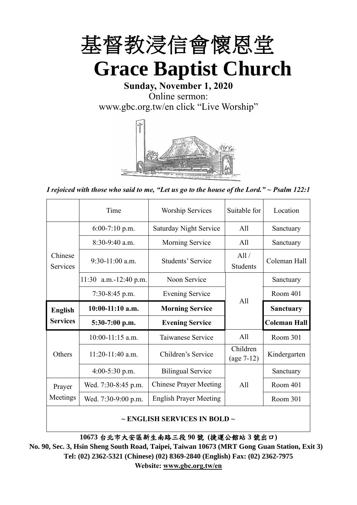

**Sunday, November 1, 2020** Online sermon: [www.gbc.org.tw/en](http://www.gbc.org.tw/en) click "Live Worship"



*I rejoiced with those who said to me, "Let us go to the house of the Lord." ~ Psalm 122:1*

|                                                 | Time                  | <b>Worship Services</b><br>Suitable for |                          | Location            |
|-------------------------------------------------|-----------------------|-----------------------------------------|--------------------------|---------------------|
|                                                 | $6:00-7:10$ p.m.      | <b>Saturday Night Service</b>           | All                      | Sanctuary           |
|                                                 | $8:30-9:40$ a.m.      | Morning Service                         | All                      | Sanctuary           |
| Chinese<br>$9:30-11:00$ a.m.<br><b>Services</b> |                       | Students' Service                       | All /<br><b>Students</b> | Coleman Hall        |
|                                                 | 11:30 a.m.-12:40 p.m. | Noon Service                            |                          | Sanctuary           |
|                                                 | $7:30-8:45$ p.m.      | <b>Evening Service</b>                  | All                      | Room 401            |
|                                                 |                       |                                         |                          |                     |
| <b>English</b>                                  | $10:00-11:10$ a.m.    | <b>Morning Service</b>                  |                          | <b>Sanctuary</b>    |
| <b>Services</b>                                 | $5:30-7:00$ p.m.      | <b>Evening Service</b>                  |                          | <b>Coleman Hall</b> |
|                                                 | $10:00-11:15$ a.m.    | Taiwanese Service                       | All                      | Room 301            |
| Others                                          | $11:20-11:40$ a.m.    | Children's Service                      | Children<br>$(age 7-12)$ | Kindergarten        |
|                                                 | $4:00-5:30$ p.m.      | <b>Bilingual Service</b>                |                          | Sanctuary           |
| Prayer                                          | Wed. 7:30-8:45 p.m.   | <b>Chinese Prayer Meeting</b>           | A11                      | Room 401            |
| Meetings                                        | Wed. 7:30-9:00 p.m.   | <b>English Prayer Meeting</b>           |                          | Room 301            |

#### **~ ENGLISH SERVICES IN BOLD ~**

**10673** 台北市大安區新生南路三段 **90** 號 **(**捷運公館站 **3** 號出口**)**

**No. 90, Sec. 3, Hsin Sheng South Road, Taipei, Taiwan 10673 (MRT Gong Guan Station, Exit 3) Tel: (02) 2362-5321 (Chinese) (02) 8369-2840 (English) Fax: (02) 2362-7975 Website: [www.gbc.org.tw/en](http://www.gbc.org.tw/en)**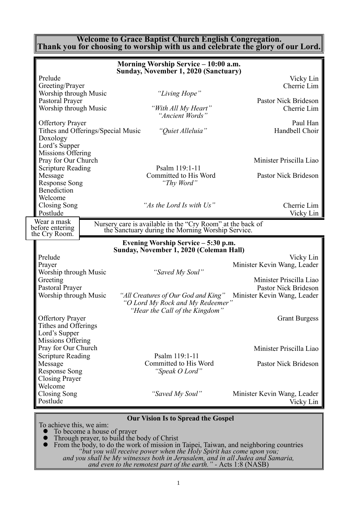#### **Welcome to Grace Baptist Church English Congregation. Thank you for choosing to worship with us and celebrate the glory of our Lord.**

|                                                                                                 |                                    | Morning Worship Service - 10:00 a.m.<br><b>Sunday, November 1, 2020 (Sanctuary)</b>                             |                                                     |
|-------------------------------------------------------------------------------------------------|------------------------------------|-----------------------------------------------------------------------------------------------------------------|-----------------------------------------------------|
| Prelude<br>Greeting/Prayer                                                                      |                                    |                                                                                                                 | Vicky Lin<br>Cherrie Lim                            |
| Worship through Music<br>Pastoral Prayer                                                        |                                    | "Living Hope"                                                                                                   | Pastor Nick Brideson                                |
| Worship through Music                                                                           |                                    | "With All My Heart"<br>"Ancient Words"                                                                          | Cherrie Lim                                         |
| <b>Offertory Prayer</b><br>Doxology<br>Lord's Supper                                            | Tithes and Offerings/Special Music | "Quiet Alleluia"                                                                                                | Paul Han<br>Handbell Choir                          |
| Missions Offering<br>Pray for Our Church                                                        |                                    |                                                                                                                 | Minister Priscilla Liao                             |
| <b>Scripture Reading</b><br>Message<br><b>Response Song</b><br><b>Benediction</b>               |                                    | Psalm 119:1-11<br>Committed to His Word<br>"Thy Word"                                                           | Pastor Nick Brideson                                |
| Welcome<br>Closing Song<br>Postlude                                                             |                                    | "As the Lord Is with Us"                                                                                        | Cherrie Lim<br>Vicky Lin                            |
| Wear a mask<br>before entering<br>the Cry Room.                                                 |                                    | Nursery care is available in the "Cry Room" at the back of<br>the Sanctuary during the Morning Worship Service. |                                                     |
|                                                                                                 |                                    |                                                                                                                 |                                                     |
|                                                                                                 |                                    | Evening Worship Service – 5:30 p.m.                                                                             |                                                     |
| Prelude<br>Prayer                                                                               |                                    | Sunday, November 1, 2020 (Coleman Hall)                                                                         | Vicky Lin<br>Minister Kevin Wang, Leader            |
| Worship through Music<br>Greeting                                                               |                                    | "Saved My Soul"                                                                                                 | Minister Priscilla Liao                             |
| Pastoral Prayer<br>Worship through Music                                                        |                                    | "All Creatures of Our God and King"<br>"O Lord My Rock and My Redeemer"                                         | Pastor Nick Brideson<br>Minister Kevin Wang, Leader |
| <b>Offertory Prayer</b><br>Tithes and Offerings<br>Lord's Supper                                |                                    | "Hear the Call of the Kingdom"                                                                                  | <b>Grant Burgess</b>                                |
| Missions Offering<br>Pray for Our Church                                                        |                                    |                                                                                                                 | Minister Priscilla Liao                             |
| <b>Scripture Reading</b><br>Message<br><b>Response Song</b><br><b>Closing Prayer</b><br>Welcome |                                    | Psalm 119:1-11<br>Committed to His Word<br>"Speak O Lord"                                                       | Pastor Nick Brideson                                |

#### **Our Vision Is to Spread the Gospel**

To achieve this, we aim:

⚫ To become a house of prayer

- ⚫ Through prayer, to build the body of Christ
- ⚫ From the body, to do the work of mission in Taipei, Taiwan, and neighboring countries *"but you will receive power when the Holy Spirit has come upon you; and you shall be My witnesses both in Jerusalem, and in all Judea and Samaria,*

*and even to the remotest part of the earth." -* Acts 1:8 (NASB)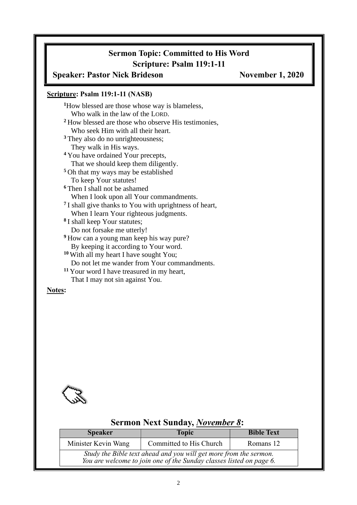# **Sermon Topic: Committed to His Word Scripture: Psalm 119:1-11**

## **Speaker: Pastor Nick Brideson November 1, 2020**

#### **Scripture: Psalm 119:1-11 (NASB)**

**<sup>1</sup>**How blessed are those whose way is blameless, Who walk in the law of the LORD. **<sup>2</sup>** How blessed are those who observe His testimonies, Who seek Him with all their heart. <sup>3</sup> They also do no unrighteousness; They walk in His ways. **<sup>4</sup>** You have ordained Your precepts, That we should keep them diligently. **<sup>5</sup>** Oh that my ways may be established To keep Your statutes! **<sup>6</sup>** Then I shall not be ashamed When I look upon all Your commandments. **7** I shall give thanks to You with uprightness of heart, When I learn Your righteous judgments. **8** I shall keep Your statutes; Do not forsake me utterly! **<sup>9</sup>** How can a young man keep his way pure? By keeping it according to Your word. **<sup>10</sup>** With all my heart I have sought You; Do not let me wander from Your commandments. **<sup>11</sup>** Your word I have treasured in my heart, That I may not sin against You.

#### **Notes:**



### **Sermon Next Sunday,** *November 8***:**

| <b>Speaker</b>                                                                                                                           | <b>Topic</b>            | <b>Bible Text</b> |  |  |
|------------------------------------------------------------------------------------------------------------------------------------------|-------------------------|-------------------|--|--|
| Minister Kevin Wang                                                                                                                      | Committed to His Church | Romans 12         |  |  |
| Study the Bible text ahead and you will get more from the sermon.<br>You are welcome to join one of the Sunday classes listed on page 6. |                         |                   |  |  |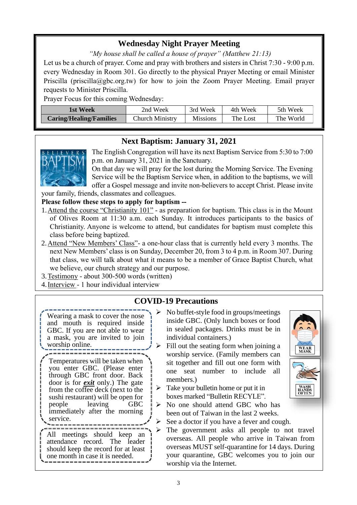# **Wednesday Night Prayer Meeting**

*"My house shall be called a house of prayer" (Matthew 21:13)*

Let us be a church of prayer. Come and pray with brothers and sisters in Christ 7:30 - 9:00 p.m. every Wednesday in Room 301. Go directly to the physical Prayer Meeting or email Minister Priscilla (priscilla@gbc.org.tw) for how to join the Zoom Prayer Meeting. Email prayer requests to Minister Priscilla.

Prayer Focus for this coming Wednesday:

| 1st Week                       | 2nd Week               | 3rd Week        | 4th Week | 5th Week  |
|--------------------------------|------------------------|-----------------|----------|-----------|
| <b>Caring/Healing/Families</b> | <b>Church Ministry</b> | <b>Missions</b> | The Lost | The World |

# **Next Baptism: January 31, 2021**



The English Congregation will have its next Baptism Service from 5:30 to 7:00 p.m. on January 31, 2021 in the Sanctuary.

On that day we will pray for the lost during the Morning Service. The Evening Service will be the Baptism Service when, in addition to the baptisms, we will offer a Gospel message and invite non-believers to accept Christ. Please invite

your family, friends, classmates and colleagues.

**Please follow these steps to apply for baptism --**

- 1.Attend the course "Christianity 101" as preparation for baptism. This class is in the Mount of Olives Room at 11:30 a.m. each Sunday. It introduces participants to the basics of Christianity. Anyone is welcome to attend, but candidates for baptism must complete this class before being baptized.
- 2.Attend "New Members' Class"- a one-hour class that is currently held every 3 months. The next New Members' class is on Sunday, December 20, from 3 to 4 p.m. in Room 307. During that class, we will talk about what it means to be a member of Grace Baptist Church, what we believe, our church strategy and our purpose.
- 3.Testimony about 300-500 words (written)
- 4.Interview 1 hour individual interview

## **COVID-19 Precautions**

- Wearing a mask to cover the nose and mouth is required inside GBC. If you are not able to wear a mask, you are invited to join worship online.
- Temperatures will be taken when you enter GBC. (Please enter through GBC front door. Back door is for *exit* only.) The gate from the coffee deck (next to the sushi restaurant) will be open for people leaving GBC immediately after the morning service.

All meetings should keep an attendance record. The leader should keep the record for at least one month in case it is needed.

- ➢ No buffet-style food in groups/meetings inside GBC. (Only lunch boxes or food in sealed packages. Drinks must be in individual containers.)
- $\triangleright$  Fill out the seating form when joining a worship service. (Family members can sit together and fill out one form with one seat number to include all members.)
- $\triangleright$  Take your bullet the home or put it in boxes marked "Bulletin RECYLE".
- ➢ No one should attend GBC who has been out of Taiwan in the last 2 weeks.
- $\triangleright$  See a doctor if you have a fever and cough.
- ➢ The government asks all people to not travel overseas. All people who arrive in Taiwan from overseas MUST self-quarantine for 14 days. During your quarantine, GBC welcomes you to join our worship via the Internet.

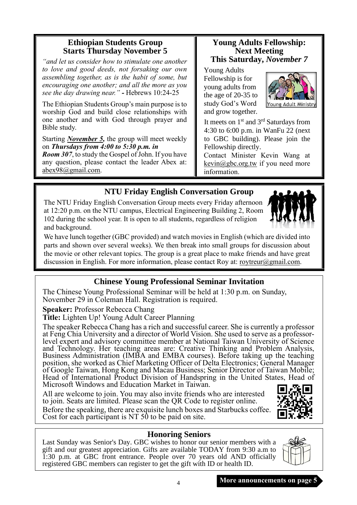## **Ethiopian Students Group Starts Thursday November 5**

*"and let us consider how to stimulate one another to love and good deeds, not forsaking our own assembling together, as is the habit of some, but encouraging one another; and all the more as you see the day drawing near." -* Hebrews 10:24-25

The Ethiopian Students Group's main purpose is to worship God and build close relationships with one another and with God through prayer and Bible study.

Starting *November 5,* the group will meet weekly on *Thursdays from 4:00 to 5:30 p.m. in*

*Room 307*, to study the Gospel of John. If you have any question, please contact the leader Abex at: [abex98@gmail.com.](mailto:abex98@gmail.com)

## **Young Adults Fellowship: Next Meeting This Saturday,** *November 7*

Young Adults Fellowship is for young adults from the age of 20-35 to study God's Word and grow together.



It meets on  $1<sup>st</sup>$  and  $3<sup>rd</sup>$  Saturdays from 4:30 to 6:00 p.m. in WanFu 22 (next to GBC building). Please join the Fellowship directly.

Contact Minister Kevin Wang at  $k$ evin $@$ gbc.org.tw if you need more information.

# **NTU Friday English Conversation Group**

The NTU Friday English Conversation Group meets every Friday afternoon at 12:20 p.m. on the NTU campus, Electrical Engineering Building 2, Room 102 during the school year. It is open to all students, regardless of religion and background.

We have lunch together (GBC provided) and watch movies in English (which are divided into parts and shown over several weeks). We then break into small groups for discussion about the movie or other relevant topics. The group is a great place to make friends and have great discussion in English. For more information, please contact Roy at: [roytreur@gmail.com.](mailto:roytreur@gmail.com)

# **Chinese Young Professional Seminar Invitation**

The Chinese Young Professional Seminar will be held at 1:30 p.m. on Sunday, November 29 in Coleman Hall. Registration is required.

**Speaker:** Professor Rebecca Chang

**Title:** Lighten Up! Young Adult Career Planning

The speaker Rebecca Chang has a rich and successful career. She is currently a professor at Feng Chia University and a director of World Vision. She used to serve as a professorlevel expert and advisory committee member at National Taiwan University of Science and Technology. Her teaching areas are: Creative Thinking and Problem Analysis, Business Administration (IMBA and EMBA courses). Before taking up the teaching position, she worked as Chief Marketing Officer of Delta Electronics; General Manager of Google Taiwan, Hong Kong and Macau Business; Senior Director of Taiwan Mobile; Head of International Product Division of Handspring in the United States, Head of Microsoft Windows and Education Market in Taiwan.

All are welcome to join. You may also invite friends who are interested to join. Seats are limited. Please scan the QR Code to register online.

Before the speaking, there are exquisite lunch boxes and Starbucks coffee. Cost for each participant is NT 50 to be paid on site.

# **Honoring Seniors**

Last Sunday was Senior's Day. GBC wishes to honor our senior members with a gift and our greatest appreciation. Gifts are available TODAY from 9:30 a.m to 1:30 p.m. at GBC front entrance. People over 70 years old AND officially registered GBC members can register to get the gift with ID or health ID.



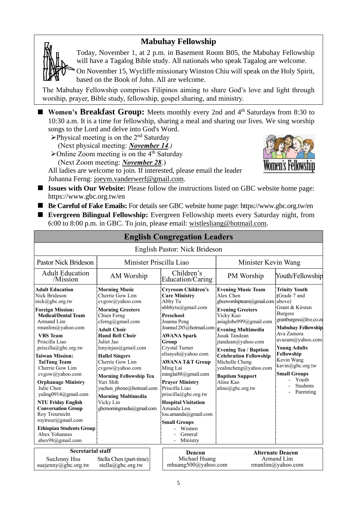# **Mabuhay Fellowship**

Today, November 1, at 2 p.m. in Basement Room B05, the Mabuhay Fellowship will have a Tagalog Bible study. All nationals who speak Tagalog are welcome.

On November 15, Wycliffe missionary Winston Chiu will speak on the Holy Spirit, based on the Book of John. All are welcome.

The Mabuhay Fellowship comprises Filipinos aiming to share God's love and light through worship, prayer, Bible study, fellowship, gospel sharing, and ministry.

■ **Women's Breakfast Group:** Meets monthly every 2nd and 4<sup>th</sup> Saturdays from 8:30 to 10:30 a.m. It is a time for fellowship, sharing a meal and sharing our lives. We sing worship songs to the Lord and delve into God's Word.

- $\triangleright$ Physical meeting is on the 2<sup>nd</sup> Saturday (Next physical meeting: *November 14.)*
- $\blacktriangleright$  Online Zoom meeting is on the 4<sup>th</sup> Saturday (Next Zoom meeting: *November 28*.)

All ladies are welcome to join. If interested, please email the leader Johanna Ferng: [joeym.vanderwerf@gmail.com.](mailto:joeym.vanderwerf@gmail.com)



- **Issues with Our Website:** Please follow the instructions listed on GBC website home page: https://www.gbc.org.tw/en
- Be Careful of Fake Emails: For details see GBC website home page: https://www.gbc.org.tw/en
- **Evergreen Bilingual Fellowship:** Evergreen Fellowship meets every Saturday night, from 6:00 to 8:00 p.m. in GBC. To join, please email: [wistlesliang@hotmail.com.](mailto:wistlesliang@hotmail.com)

| <b>English Congregation Leagers</b>                                                                                                                                                                                                                                                                                                                                                                                                                                                                                                                                 |                                                                                                                                                                                                                                                                                                                                                                                                                               |                                                                                                                                                                                                                                                                                                                                                                                                                                                                                                          |                                                                                                                                                                                                                                                                                                                                                                        |                                                                                                                                                                                                                                                                                                            |  |
|---------------------------------------------------------------------------------------------------------------------------------------------------------------------------------------------------------------------------------------------------------------------------------------------------------------------------------------------------------------------------------------------------------------------------------------------------------------------------------------------------------------------------------------------------------------------|-------------------------------------------------------------------------------------------------------------------------------------------------------------------------------------------------------------------------------------------------------------------------------------------------------------------------------------------------------------------------------------------------------------------------------|----------------------------------------------------------------------------------------------------------------------------------------------------------------------------------------------------------------------------------------------------------------------------------------------------------------------------------------------------------------------------------------------------------------------------------------------------------------------------------------------------------|------------------------------------------------------------------------------------------------------------------------------------------------------------------------------------------------------------------------------------------------------------------------------------------------------------------------------------------------------------------------|------------------------------------------------------------------------------------------------------------------------------------------------------------------------------------------------------------------------------------------------------------------------------------------------------------|--|
|                                                                                                                                                                                                                                                                                                                                                                                                                                                                                                                                                                     |                                                                                                                                                                                                                                                                                                                                                                                                                               | English Pastor: Nick Brideson                                                                                                                                                                                                                                                                                                                                                                                                                                                                            |                                                                                                                                                                                                                                                                                                                                                                        |                                                                                                                                                                                                                                                                                                            |  |
| <b>Pastor Nick Brideson</b>                                                                                                                                                                                                                                                                                                                                                                                                                                                                                                                                         | Minister Priscilla Liao                                                                                                                                                                                                                                                                                                                                                                                                       |                                                                                                                                                                                                                                                                                                                                                                                                                                                                                                          | Minister Kevin Wang                                                                                                                                                                                                                                                                                                                                                    |                                                                                                                                                                                                                                                                                                            |  |
| Children's<br><b>Adult Education</b><br>AM Worship<br>Education/Caring<br>/Mission                                                                                                                                                                                                                                                                                                                                                                                                                                                                                  |                                                                                                                                                                                                                                                                                                                                                                                                                               | PM Worship                                                                                                                                                                                                                                                                                                                                                                                                                                                                                               |                                                                                                                                                                                                                                                                                                                                                                        | Youth/Fellowship                                                                                                                                                                                                                                                                                           |  |
| <b>Adult Education</b><br>Nick Brideson<br>nick@gbc.org.tw<br><b>Foreign Mission:</b><br><b>Medical/Dental Team</b><br>Armand Lim<br>rmanlim@yahoo.com<br><b>VBS</b> Team<br>Priscilla Liao<br>$priscilla(\partial gbc.org.tw)$<br><b>Taiwan Mission:</b><br><b>TaiTung Team</b><br>Cherrie Gow Lim<br>cvgow@yahoo.com<br><b>Orphanage Ministry</b><br>Julie Chen<br>yuling0914@gmail.com<br><b>NTU Friday English</b><br><b>Conversation Group</b><br>Roy Treurnicht<br>roytreur@gmail.com<br><b>Ethiopian Students Group</b><br>Abex Yohannes<br>abex98@gmail.com | <b>Morning Music</b><br>Cherrie Gow Lim<br>cvgow@yahoo.com<br><b>Morning Greeters</b><br>Chien Ferng<br>cferng@gmail.com<br><b>Adult Choir</b><br><b>Hand Bell Choir</b><br>Juliet Jao<br>lenyinjao@gmail.com<br><b>Hallel Singers</b><br>Cherrie Gow Lim<br>cvgow@yahoo.com<br><b>Morning Fellowship Tea</b><br>Yuri Shih<br>yuchen phone@hotmail.com<br><b>Morning Multimedia</b><br>Vicky Lin<br>gbcmorningmedia@gmail.com | <b>Cryroom Children's</b><br><b>Care Ministry</b><br>Abby Tu<br>abbbytu@gmail.com<br><b>Preschool</b><br>Joanna Peng<br>Joanna1285@hotmail.com Evening Multimedia<br><b>AWANA Spark</b><br>Group<br>Crystal Turner<br>elisayeh@yahoo.com<br><b>AWANA T&amp;T Group</b><br>Ming Lai<br>minglai88@gmail.com<br><b>Prayer Ministry</b><br>Priscilla Liao<br>priscilla@gbc.org.tw<br><b>Hospital Visitation</b><br>Amanda Lou<br>lou.amanda@gmail.com<br><b>Small Groups</b><br>Women<br>General<br>Ministry | <b>Evening Music Team</b><br>Alex Chen<br>gbceworshipteam@gmail.com above)<br><b>Evening Greeters</b><br>Vicky Kuo<br>asiaglobe999@gmail.com<br>Jusak Tandean<br>jtandean@yahoo.com<br><b>Evening Tea / Baptism</b><br><b>Celebration Fellowship</b><br>Michelle Cheng<br>yealincheng@yahoo.com<br><b>Baptism Support</b><br>Aline Kao<br>$aline(\partial gbc.org.tw)$ | <b>Trinity Youth</b><br>(Grade 7 and<br>Grant & Kirsten<br><b>Burgess</b><br>grantburgess@live.co.za<br><b>Mabuhav Fellowship</b><br>Ava Zamora<br>avazam@yahoo.com<br><b>Young Adults</b><br>Fellowship<br>Kevin Wang<br>kavin@gbc.org.tw<br><b>Small Groups</b><br>Youth<br><b>Students</b><br>Parenting |  |
| <b>Secretarial staff</b><br>SueJenny Hsu<br>suejenny@gbc.org.tw                                                                                                                                                                                                                                                                                                                                                                                                                                                                                                     | Stella Chen (part-time)<br>stella@gbc.org.tw                                                                                                                                                                                                                                                                                                                                                                                  | Deacon<br>Michael Huang<br>mhuang500@yahoo.com                                                                                                                                                                                                                                                                                                                                                                                                                                                           |                                                                                                                                                                                                                                                                                                                                                                        | <b>Alternate Deacon</b><br>Armand Lim<br>rmanlim@yahoo.com                                                                                                                                                                                                                                                 |  |

## **English Congregation Leaders**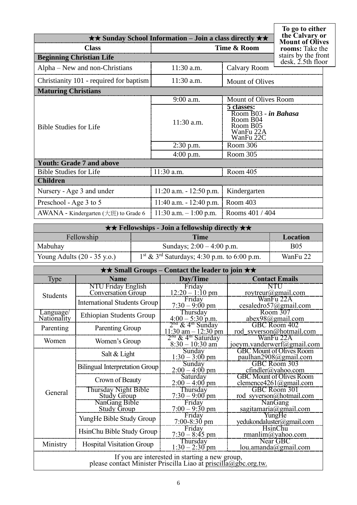|                                                  | $\star\star$ Sunday School Information – Join a class directly $\star\star$ |                                                                                      | To go to either<br>the Calvary or<br><b>Mount of Olives</b> |
|--------------------------------------------------|-----------------------------------------------------------------------------|--------------------------------------------------------------------------------------|-------------------------------------------------------------|
| <b>Class</b>                                     | rooms: Take the                                                             |                                                                                      |                                                             |
| <b>Beginning Christian Life</b>                  |                                                                             |                                                                                      | stairs by the front<br>$\text{ desk}, \text{2.5th floor}$   |
| Alpha – New and non-Christians                   | 11:30 a.m.                                                                  | <b>Calvary Room</b>                                                                  |                                                             |
| Christianity 101 - required for baptism          | $11:30$ a.m.                                                                | <b>Mount of Olives</b>                                                               |                                                             |
| <b>Maturing Christians</b>                       |                                                                             |                                                                                      |                                                             |
|                                                  | 9:00 a.m.                                                                   | Mount of Olives Room                                                                 |                                                             |
| <b>Bible Studies for Life</b>                    | 11:30 a.m.                                                                  | 5 classes:<br>Room B03 - in Bahasa<br>Room B04<br>Room B05<br>WanFu 22A<br>WanFu 22C |                                                             |
|                                                  | $2:30$ p.m.                                                                 | Room 306                                                                             |                                                             |
|                                                  | $4:00$ p.m.                                                                 | Room 305                                                                             |                                                             |
| <b>Youth: Grade 7 and above</b>                  |                                                                             |                                                                                      |                                                             |
| <b>Bible Studies for Life</b>                    | $11:30$ a.m.                                                                | Room 405                                                                             |                                                             |
| <b>Children</b>                                  |                                                                             |                                                                                      |                                                             |
| Nursery - Age 3 and under                        | $11:20$ a.m. $-12:50$ p.m.                                                  | Kindergarten                                                                         |                                                             |
| Preschool - Age 3 to 5                           | $11:40$ a.m. $-12:40$ p.m.                                                  | Room 403                                                                             |                                                             |
| AWANA - Kindergarten $(\pm \text{H})$ to Grade 6 | $11:30$ a.m. $-1:00$ p.m.                                                   | Rooms 401 / 404                                                                      |                                                             |

| $\star \star$ Fellowships - Join a fellowship directly $\star \star$ |                             |            |  |
|----------------------------------------------------------------------|-----------------------------|------------|--|
| Fellowship<br>Time<br>Location                                       |                             |            |  |
| Mabuhay                                                              | Sundays; $2:00 - 4:00$ p.m. | <b>B05</b> |  |
| Young Adults $(20 - 35 \text{ y.o.})$                                | WanFu 22                    |            |  |

| $\star\star$ Small Groups – Contact the leader to join $\star\star$                                               |                                                 |                                                                 |                                                           |  |  |
|-------------------------------------------------------------------------------------------------------------------|-------------------------------------------------|-----------------------------------------------------------------|-----------------------------------------------------------|--|--|
| <b>Type</b>                                                                                                       | <b>Name</b>                                     | Day/Time                                                        | <b>Contact Emails</b>                                     |  |  |
| <b>Students</b>                                                                                                   | <b>NTU Friday English</b><br>Conversation Group | Friday<br>$12:20 - 1:10$ pm                                     | NTU<br>roytreur@gmail.com                                 |  |  |
|                                                                                                                   | <b>International Students Group</b>             | Friday<br>$7:30 - 9:00 \text{ pm}$                              | WanFu 22A<br>cesaledro57@gmail.com                        |  |  |
| Language/<br>Nationality                                                                                          | <b>Ethiopian Students Group</b>                 | Thursday<br>$4:00 - 5:30$ p.m.                                  | Room 307<br>$abex98$ @gmail.com                           |  |  |
| Parenting                                                                                                         | Parenting Group                                 | $2na$ & 4 <sup>m</sup> Sunday<br>$11:30$ am $-12:30$ pm         | GBC Room 402<br>rod_syverson@hotmail.com                  |  |  |
| Women                                                                                                             | Women's Group                                   | 2 <sup>na</sup> & 4 <sup>th</sup> Saturday<br>$8:30 - 10:30$ am | WanFu 22A<br>joeym.vanderwerf@gmail.com                   |  |  |
|                                                                                                                   | Salt & Light                                    | Sunday<br>$1:30 - 3:00$ pm                                      | <b>GBC Mount of Olives Room</b><br>paulhan2908@gmail.com  |  |  |
|                                                                                                                   | <b>Bilingual Interpretation Group</b>           | Sunday<br>$2:00 - 4:00$ pm                                      | GBC Room 303<br>$cfindler(a)$ yahoo.com                   |  |  |
|                                                                                                                   | Crown of Beauty                                 | Saturday<br>$2:00 - 4:00$ pm                                    | <b>GBC</b> Mount of Olives Room<br>clemence4261@gmail.com |  |  |
| General                                                                                                           | Thursday Night Bible<br><b>Study Group</b>      | Thursday<br>$7:30 - 9:00$ pm                                    | GBC Room 301<br>rod syverson@hotmail.com                  |  |  |
|                                                                                                                   | NanGang Bible<br><b>Study Group</b>             | Friday<br>$7:00 - 9:30$ pm                                      | NanGang<br>sagitamaria@gmail.com                          |  |  |
|                                                                                                                   | YungHe Bible Study Group                        | Friday<br>$7:00-8:30$ pm                                        | YungHe<br>yedukondaluster@gmail.com                       |  |  |
|                                                                                                                   | HsinChu Bible Study Group                       | Friday<br>$7:30 - 8:45$ pm                                      | <b>HsinChu</b><br>rmanlim@yahoo.com                       |  |  |
| Ministry                                                                                                          | <b>Hospital Visitation Group</b>                | Thursday<br>$1:30 - 2:30$ pm                                    | Near GBC<br>lou. amanda@gmail.com                         |  |  |
| If you are interested in starting a new group,<br>please contact Minister Priscilla Liao at priscilla@gbc.org.tw. |                                                 |                                                                 |                                                           |  |  |